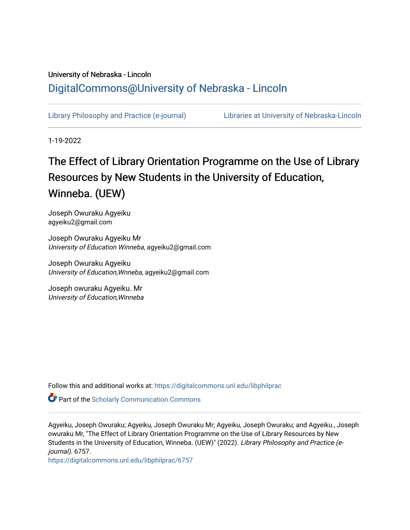# University of Nebraska - Lincoln [DigitalCommons@University of Nebraska - Lincoln](https://digitalcommons.unl.edu/)

[Library Philosophy and Practice \(e-journal\)](https://digitalcommons.unl.edu/libphilprac) [Libraries at University of Nebraska-Lincoln](https://digitalcommons.unl.edu/libraries) 

1-19-2022

# The Effect of Library Orientation Programme on the Use of Library Resources by New Students in the University of Education, Winneba. (UEW)

Joseph Owuraku Agyeiku agyeiku2@gmail.com

Joseph Owuraku Agyeiku Mr University of Education Winneba, agyeiku2@gmail.com

Joseph Owuraku Agyeiku University of Education,Wnneba, agyeiku2@gmail.com

Joseph owuraku Agyeiku. Mr University of Education,Winneba

Follow this and additional works at: [https://digitalcommons.unl.edu/libphilprac](https://digitalcommons.unl.edu/libphilprac?utm_source=digitalcommons.unl.edu%2Flibphilprac%2F6757&utm_medium=PDF&utm_campaign=PDFCoverPages) 

**Part of the Scholarly Communication Commons** 

Agyeiku, Joseph Owuraku; Agyeiku, Joseph Owuraku Mr; Agyeiku, Joseph Owuraku; and Agyeiku., Joseph owuraku Mr, "The Effect of Library Orientation Programme on the Use of Library Resources by New Students in the University of Education, Winneba. (UEW)" (2022). Library Philosophy and Practice (ejournal). 6757.

[https://digitalcommons.unl.edu/libphilprac/6757](https://digitalcommons.unl.edu/libphilprac/6757?utm_source=digitalcommons.unl.edu%2Flibphilprac%2F6757&utm_medium=PDF&utm_campaign=PDFCoverPages)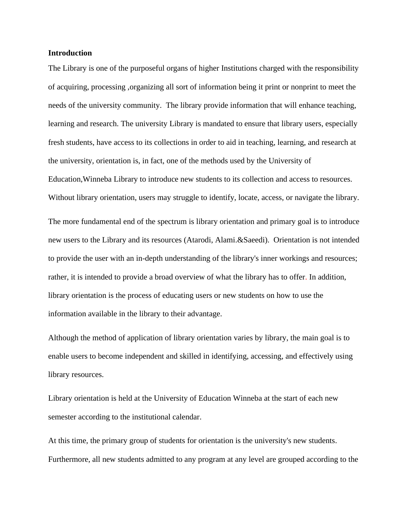# **Introduction**

The Library is one of the purposeful organs of higher Institutions charged with the responsibility of acquiring, processing ,organizing all sort of information being it print or nonprint to meet the needs of the university community. The library provide information that will enhance teaching, learning and research. The university Library is mandated to ensure that library users, especially fresh students, have access to its collections in order to aid in teaching, learning, and research at the university, orientation is, in fact, one of the methods used by the University of Education,Winneba Library to introduce new students to its collection and access to resources. Without library orientation, users may struggle to identify, locate, access, or navigate the library. The more fundamental end of the spectrum is library orientation and primary goal is to introduce new users to the Library and its resources (Atarodi, Alami.&Saeedi). Orientation is not intended to provide the user with an in-depth understanding of the library's inner workings and resources; rather, it is intended to provide a broad overview of what the library has to offer. In addition, library orientation is the process of educating users or new students on how to use the

information available in the library to their advantage.

Although the method of application of library orientation varies by library, the main goal is to enable users to become independent and skilled in identifying, accessing, and effectively using library resources.

Library orientation is held at the University of Education Winneba at the start of each new semester according to the institutional calendar.

At this time, the primary group of students for orientation is the university's new students. Furthermore, all new students admitted to any program at any level are grouped according to the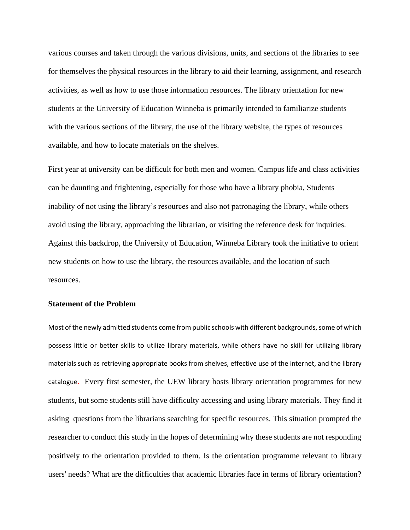various courses and taken through the various divisions, units, and sections of the libraries to see for themselves the physical resources in the library to aid their learning, assignment, and research activities, as well as how to use those information resources. The library orientation for new students at the University of Education Winneba is primarily intended to familiarize students with the various sections of the library, the use of the library website, the types of resources available, and how to locate materials on the shelves.

First year at university can be difficult for both men and women. Campus life and class activities can be daunting and frightening, especially for those who have a library phobia, Students inability of not using the library's resources and also not patronaging the library, while others avoid using the library, approaching the librarian, or visiting the reference desk for inquiries. Against this backdrop, the University of Education, Winneba Library took the initiative to orient new students on how to use the library, the resources available, and the location of such resources.

# **Statement of the Problem**

Most of the newly admitted students come from public schools with different backgrounds, some of which possess little or better skills to utilize library materials, while others have no skill for utilizing library materials such as retrieving appropriate books from shelves, effective use of the internet, and the library catalogue. Every first semester, the UEW library hosts library orientation programmes for new students, but some students still have difficulty accessing and using library materials. They find it asking questions from the librarians searching for specific resources. This situation prompted the researcher to conduct this study in the hopes of determining why these students are not responding positively to the orientation provided to them. Is the orientation programme relevant to library users' needs? What are the difficulties that academic libraries face in terms of library orientation?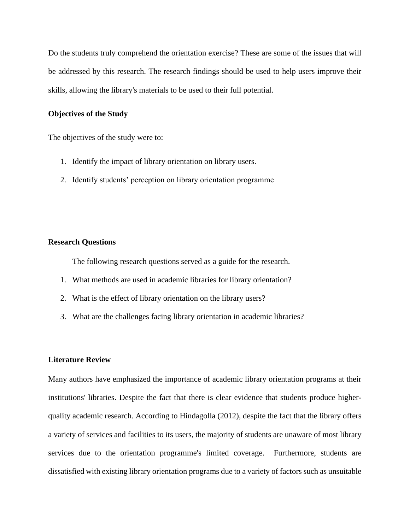Do the students truly comprehend the orientation exercise? These are some of the issues that will be addressed by this research. The research findings should be used to help users improve their skills, allowing the library's materials to be used to their full potential.

# **Objectives of the Study**

The objectives of the study were to:

- 1. Identify the impact of library orientation on library users.
- 2. Identify students' perception on library orientation programme

### **Research Questions**

The following research questions served as a guide for the research.

- 1. What methods are used in academic libraries for library orientation?
- 2. What is the effect of library orientation on the library users?
- 3. What are the challenges facing library orientation in academic libraries?

#### **Literature Review**

Many authors have emphasized the importance of academic library orientation programs at their institutions' libraries. Despite the fact that there is clear evidence that students produce higherquality academic research. According to Hindagolla (2012), despite the fact that the library offers a variety of services and facilities to its users, the majority of students are unaware of most library services due to the orientation programme's limited coverage. Furthermore, students are dissatisfied with existing library orientation programs due to a variety of factors such as unsuitable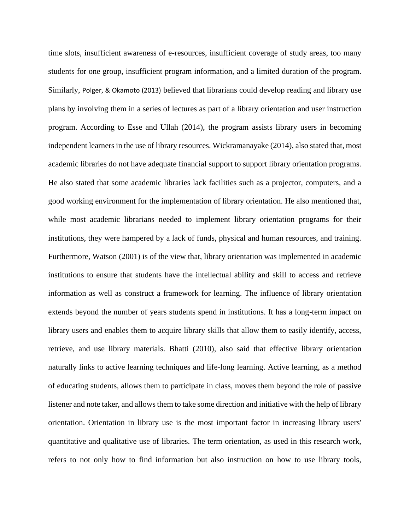time slots, insufficient awareness of e-resources, insufficient coverage of study areas, too many students for one group, insufficient program information, and a limited duration of the program. Similarly, Polger, & Okamoto (2013) believed that librarians could develop reading and library use plans by involving them in a series of lectures as part of a library orientation and user instruction program. According to Esse and Ullah (2014), the program assists library users in becoming independent learners in the use of library resources. Wickramanayake (2014), also stated that, most academic libraries do not have adequate financial support to support library orientation programs. He also stated that some academic libraries lack facilities such as a projector, computers, and a good working environment for the implementation of library orientation. He also mentioned that, while most academic librarians needed to implement library orientation programs for their institutions, they were hampered by a lack of funds, physical and human resources, and training. Furthermore, Watson (2001) is of the view that, library orientation was implemented in academic institutions to ensure that students have the intellectual ability and skill to access and retrieve information as well as construct a framework for learning. The influence of library orientation extends beyond the number of years students spend in institutions. It has a long-term impact on library users and enables them to acquire library skills that allow them to easily identify, access, retrieve, and use library materials. Bhatti (2010), also said that effective library orientation naturally links to active learning techniques and life-long learning. Active learning, as a method of educating students, allows them to participate in class, moves them beyond the role of passive listener and note taker, and allows them to take some direction and initiative with the help of library orientation. Orientation in library use is the most important factor in increasing library users' quantitative and qualitative use of libraries. The term orientation, as used in this research work, refers to not only how to find information but also instruction on how to use library tools,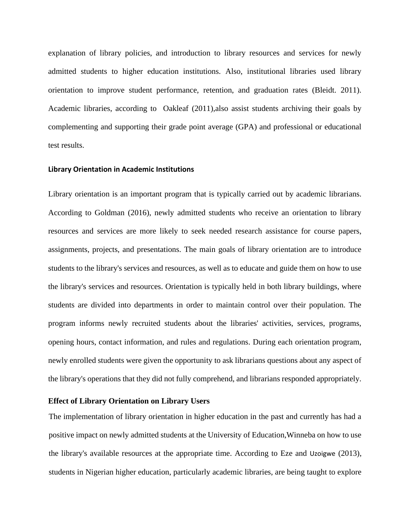explanation of library policies, and introduction to library resources and services for newly admitted students to higher education institutions. Also, institutional libraries used library orientation to improve student performance, retention, and graduation rates (Bleidt. 2011). Academic libraries, according to Oakleaf (2011),also assist students archiving their goals by complementing and supporting their grade point average (GPA) and professional or educational test results.

#### **Library Orientation in Academic Institutions**

Library orientation is an important program that is typically carried out by academic librarians. According to Goldman (2016), newly admitted students who receive an orientation to library resources and services are more likely to seek needed research assistance for course papers, assignments, projects, and presentations. The main goals of library orientation are to introduce students to the library's services and resources, as well as to educate and guide them on how to use the library's services and resources. Orientation is typically held in both library buildings, where students are divided into departments in order to maintain control over their population. The program informs newly recruited students about the libraries' activities, services, programs, opening hours, contact information, and rules and regulations. During each orientation program, newly enrolled students were given the opportunity to ask librarians questions about any aspect of the library's operations that they did not fully comprehend, and librarians responded appropriately.

## **Effect of Library Orientation on Library Users**

The implementation of library orientation in higher education in the past and currently has had a positive impact on newly admitted students at the University of Education,Winneba on how to use the library's available resources at the appropriate time. According to Eze and Uzoigwe (2013), students in Nigerian higher education, particularly academic libraries, are being taught to explore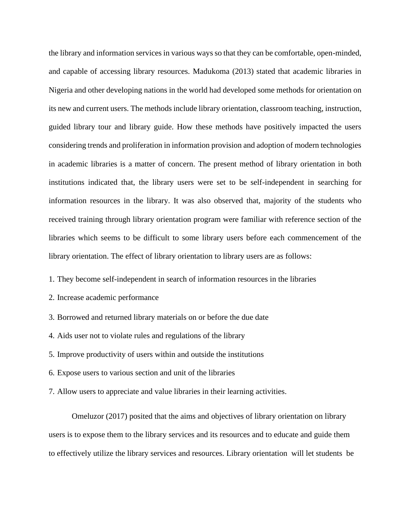the library and information services in various ways so that they can be comfortable, open-minded, and capable of accessing library resources. Madukoma (2013) stated that academic libraries in Nigeria and other developing nations in the world had developed some methods for orientation on its new and current users. The methods include library orientation, classroom teaching, instruction, guided library tour and library guide. How these methods have positively impacted the users considering trends and proliferation in information provision and adoption of modern technologies in academic libraries is a matter of concern. The present method of library orientation in both institutions indicated that, the library users were set to be self-independent in searching for information resources in the library. It was also observed that, majority of the students who received training through library orientation program were familiar with reference section of the libraries which seems to be difficult to some library users before each commencement of the library orientation. The effect of library orientation to library users are as follows:

1. They become self-independent in search of information resources in the libraries

- 2. Increase academic performance
- 3. Borrowed and returned library materials on or before the due date
- 4. Aids user not to violate rules and regulations of the library
- 5. Improve productivity of users within and outside the institutions
- 6. Expose users to various section and unit of the libraries
- 7. Allow users to appreciate and value libraries in their learning activities.

Omeluzor (2017) posited that the aims and objectives of library orientation on library users is to expose them to the library services and its resources and to educate and guide them to effectively utilize the library services and resources. Library orientation will let students be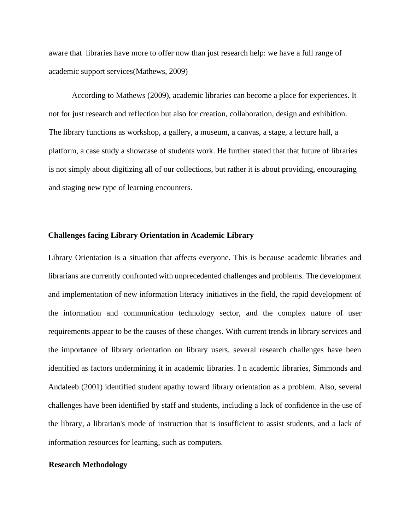aware that libraries have more to offer now than just research help: we have a full range of academic support services(Mathews, 2009)

According to Mathews (2009), academic libraries can become a place for experiences. It not for just research and reflection but also for creation, collaboration, design and exhibition. The library functions as workshop, a gallery, a museum, a canvas, a stage, a lecture hall, a platform, a case study a showcase of students work. He further stated that that future of libraries is not simply about digitizing all of our collections, but rather it is about providing, encouraging and staging new type of learning encounters.

#### **Challenges facing Library Orientation in Academic Library**

Library Orientation is a situation that affects everyone. This is because academic libraries and librarians are currently confronted with unprecedented challenges and problems. The development and implementation of new information literacy initiatives in the field, the rapid development of the information and communication technology sector, and the complex nature of user requirements appear to be the causes of these changes. With current trends in library services and the importance of library orientation on library users, several research challenges have been identified as factors undermining it in academic libraries. I n academic libraries, Simmonds and Andaleeb (2001) identified student apathy toward library orientation as a problem. Also, several challenges have been identified by staff and students, including a lack of confidence in the use of the library, a librarian's mode of instruction that is insufficient to assist students, and a lack of information resources for learning, such as computers.

#### **Research Methodology**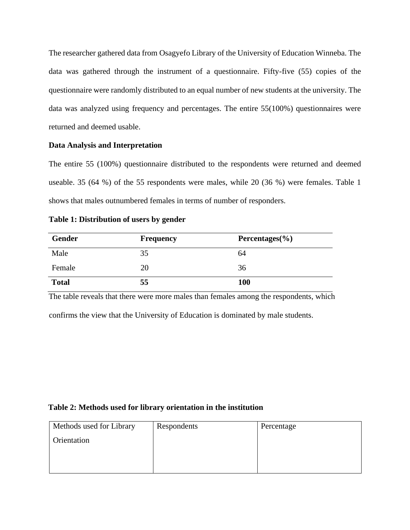The researcher gathered data from Osagyefo Library of the University of Education Winneba. The data was gathered through the instrument of a questionnaire. Fifty-five (55) copies of the questionnaire were randomly distributed to an equal number of new students at the university. The data was analyzed using frequency and percentages. The entire 55(100%) questionnaires were returned and deemed usable.

# **Data Analysis and Interpretation**

The entire 55 (100%) questionnaire distributed to the respondents were returned and deemed useable. 35 (64 %) of the 55 respondents were males, while 20 (36 %) were females. Table 1 shows that males outnumbered females in terms of number of responders.

# **Table 1: Distribution of users by gender**

| <b>Gender</b> | <b>Frequency</b> | Percentages $(\% )$ |
|---------------|------------------|---------------------|
| Male          | 35               | 64                  |
| Female        | 20               | 36                  |
| <b>Total</b>  | 55               | 100                 |

The table reveals that there were more males than females among the respondents, which

confirms the view that the University of Education is dominated by male students.

# **Table 2: Methods used for library orientation in the institution**

| Methods used for Library | Respondents | Percentage |
|--------------------------|-------------|------------|
| Orientation              |             |            |
|                          |             |            |
|                          |             |            |
|                          |             |            |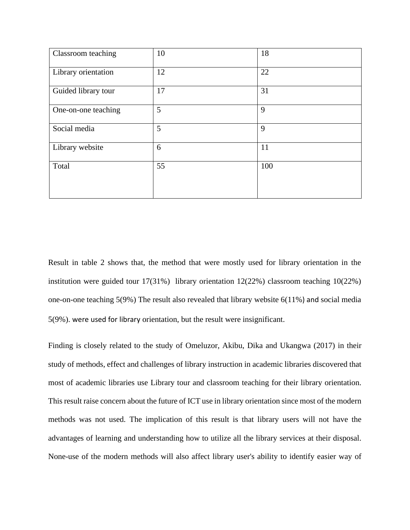| Classroom teaching  | 10 | 18  |
|---------------------|----|-----|
| Library orientation | 12 | 22  |
| Guided library tour | 17 | 31  |
| One-on-one teaching | 5  | 9   |
| Social media        | 5  | 9   |
| Library website     | 6  | 11  |
| Total               | 55 | 100 |
|                     |    |     |

Result in table 2 shows that, the method that were mostly used for library orientation in the institution were guided tour 17(31%) library orientation 12(22%) classroom teaching 10(22%) one-on-one teaching 5(9%) The result also revealed that library website 6(11%) and social media 5(9%). were used for library orientation, but the result were insignificant.

Finding is closely related to the study of Omeluzor, Akibu, Dika and Ukangwa (2017) in their study of methods, effect and challenges of library instruction in academic libraries discovered that most of academic libraries use Library tour and classroom teaching for their library orientation. This result raise concern about the future of ICT use in library orientation since most of the modern methods was not used. The implication of this result is that library users will not have the advantages of learning and understanding how to utilize all the library services at their disposal. None-use of the modern methods will also affect library user's ability to identify easier way of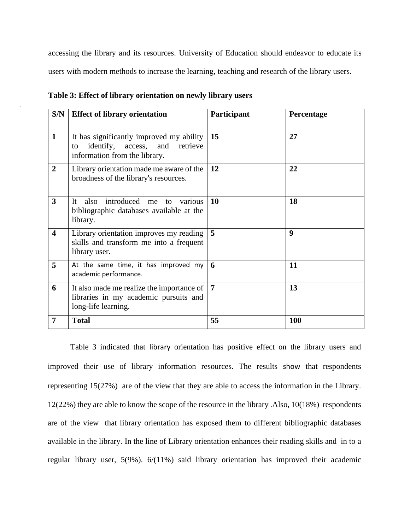accessing the library and its resources. University of Education should endeavor to educate its users with modern methods to increase the learning, teaching and research of the library users.

| S/N                     | <b>Effect of library orientation</b>                                                                                       | Participant    | Percentage       |
|-------------------------|----------------------------------------------------------------------------------------------------------------------------|----------------|------------------|
| $\mathbf{1}$            | It has significantly improved my ability<br>identify,<br>access,<br>and<br>retrieve<br>to<br>information from the library. | 15             | 27               |
| $\overline{2}$          | Library orientation made me aware of the<br>broadness of the library's resources.                                          | 12             | 22               |
| $\mathbf{3}$            | introduced me<br>also<br>$It-$<br>various<br>to<br>bibliographic databases available at the<br>library.                    | 10             | 18               |
| $\overline{\mathbf{4}}$ | Library orientation improves my reading<br>skills and transform me into a frequent<br>library user.                        | 5              | $\boldsymbol{9}$ |
| 5                       | At the same time, it has improved my<br>academic performance.                                                              | 6              | 11               |
| 6                       | It also made me realize the importance of<br>libraries in my academic pursuits and<br>long-life learning.                  | $\overline{7}$ | 13               |
| $\overline{7}$          | <b>Total</b>                                                                                                               | 55             | <b>100</b>       |

| Table 3: Effect of library orientation on newly library users |  |  |  |  |  |  |  |  |  |  |  |
|---------------------------------------------------------------|--|--|--|--|--|--|--|--|--|--|--|
|---------------------------------------------------------------|--|--|--|--|--|--|--|--|--|--|--|

Table 3 indicated that library orientation has positive effect on the library users and improved their use of library information resources. The results show that respondents representing 15(27%) are of the view that they are able to access the information in the Library. 12(22%) they are able to know the scope of the resource in the library .Also, 10(18%) respondents are of the view that library orientation has exposed them to different bibliographic databases available in the library. In the line of Library orientation enhances their reading skills and in to a regular library user, 5(9%). 6/(11%) said library orientation has improved their academic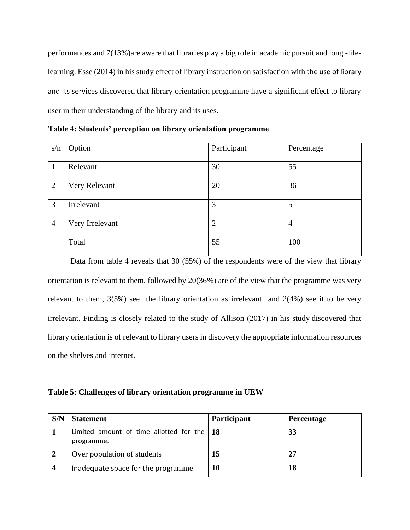performances and 7(13%)are aware that libraries play a big role in academic pursuit and long -lifelearning. Esse (2014) in his study effect of library instruction on satisfaction with the use of library and its services discovered that library orientation programme have a significant effect to library user in their understanding of the library and its uses.

**Table 4: Students' perception on library orientation programme**

| s/n            | Option          | Participant    | Percentage     |
|----------------|-----------------|----------------|----------------|
|                |                 |                |                |
| $\mathbf{1}$   | Relevant        | 30             | 55             |
|                |                 |                |                |
| $\overline{2}$ | Very Relevant   | 20             | 36             |
|                |                 |                |                |
| 3              | Irrelevant      | 3              | 5              |
|                |                 |                |                |
| $\overline{4}$ | Very Irrelevant | $\overline{2}$ | $\overline{4}$ |
|                |                 |                |                |
|                | Total           | 55             | 100            |
|                |                 |                |                |

Data from table 4 reveals that 30 (55%) of the respondents were of the view that library orientation is relevant to them, followed by 20(36%) are of the view that the programme was very relevant to them,  $3(5%)$  see the library orientation as irrelevant and  $2(4%)$  see it to be very irrelevant. Finding is closely related to the study of Allison (2017) in his study discovered that library orientation is of relevant to library users in discovery the appropriate information resources on the shelves and internet.

**Table 5: Challenges of library orientation programme in UEW**

| S/N | <b>Statement</b>                                                 | Participant | <b>Percentage</b> |
|-----|------------------------------------------------------------------|-------------|-------------------|
|     | Limited amount of time allotted for the $\vert$ 18<br>programme. |             | 33                |
|     | Over population of students                                      | 15          | 27                |
| 4   | Inadequate space for the programme                               | 10          | 18                |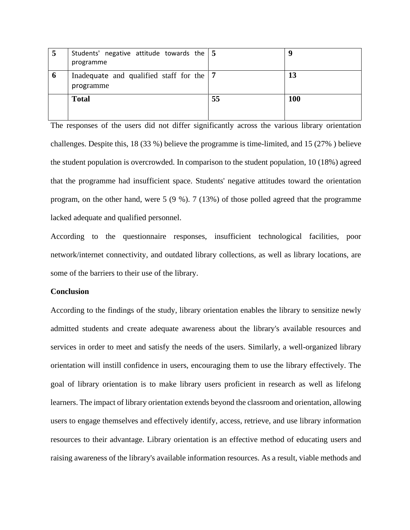| 5 | Students' negative attitude towards the $\vert 5 \rangle$<br>programme |    | q          |
|---|------------------------------------------------------------------------|----|------------|
| O | Inadequate and qualified staff for the $\vert 7 \vert$<br>programme    |    | 13         |
|   | <b>Total</b>                                                           | 55 | <b>100</b> |

The responses of the users did not differ significantly across the various library orientation challenges. Despite this, 18 (33 %) believe the programme is time-limited, and 15 (27% ) believe the student population is overcrowded. In comparison to the student population, 10 (18%) agreed that the programme had insufficient space. Students' negative attitudes toward the orientation program, on the other hand, were 5 (9 %). 7 (13%) of those polled agreed that the programme lacked adequate and qualified personnel.

According to the questionnaire responses, insufficient technological facilities, poor network/internet connectivity, and outdated library collections, as well as library locations, are some of the barriers to their use of the library.

# **Conclusion**

According to the findings of the study, library orientation enables the library to sensitize newly admitted students and create adequate awareness about the library's available resources and services in order to meet and satisfy the needs of the users. Similarly, a well-organized library orientation will instill confidence in users, encouraging them to use the library effectively. The goal of library orientation is to make library users proficient in research as well as lifelong learners. The impact of library orientation extends beyond the classroom and orientation, allowing users to engage themselves and effectively identify, access, retrieve, and use library information resources to their advantage. Library orientation is an effective method of educating users and raising awareness of the library's available information resources. As a result, viable methods and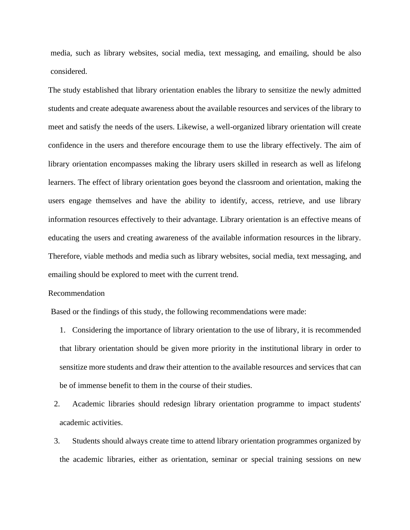media, such as library websites, social media, text messaging, and emailing, should be also considered.

The study established that library orientation enables the library to sensitize the newly admitted students and create adequate awareness about the available resources and services of the library to meet and satisfy the needs of the users. Likewise, a well-organized library orientation will create confidence in the users and therefore encourage them to use the library effectively. The aim of library orientation encompasses making the library users skilled in research as well as lifelong learners. The effect of library orientation goes beyond the classroom and orientation, making the users engage themselves and have the ability to identify, access, retrieve, and use library information resources effectively to their advantage. Library orientation is an effective means of educating the users and creating awareness of the available information resources in the library. Therefore, viable methods and media such as library websites, social media, text messaging, and emailing should be explored to meet with the current trend.

#### Recommendation

Based or the findings of this study, the following recommendations were made:

- 1. Considering the importance of library orientation to the use of library, it is recommended that library orientation should be given more priority in the institutional library in order to sensitize more students and draw their attention to the available resources and services that can be of immense benefit to them in the course of their studies.
- 2. Academic libraries should redesign library orientation programme to impact students' academic activities.
- 3. Students should always create time to attend library orientation programmes organized by the academic libraries, either as orientation, seminar or special training sessions on new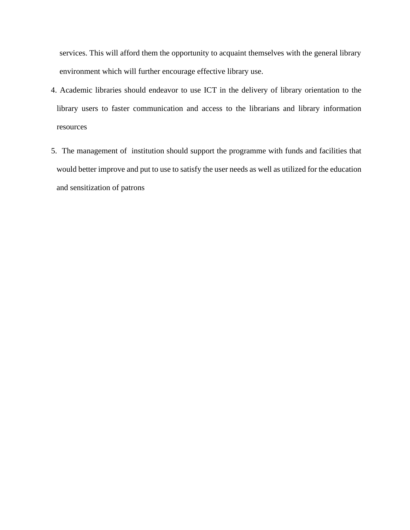services. This will afford them the opportunity to acquaint themselves with the general library environment which will further encourage effective library use.

- 4. Academic libraries should endeavor to use ICT in the delivery of library orientation to the library users to faster communication and access to the librarians and library information resources
- 5. The management of institution should support the programme with funds and facilities that would better improve and put to use to satisfy the user needs as well as utilized for the education and sensitization of patrons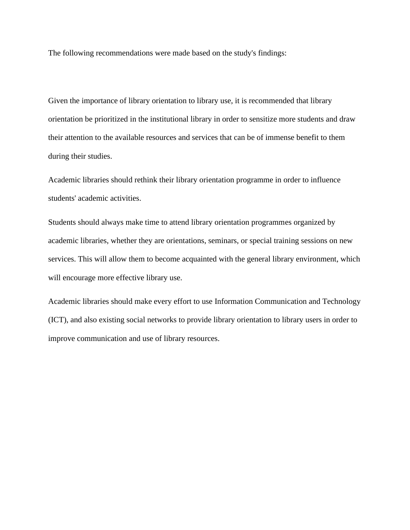The following recommendations were made based on the study's findings:

Given the importance of library orientation to library use, it is recommended that library orientation be prioritized in the institutional library in order to sensitize more students and draw their attention to the available resources and services that can be of immense benefit to them during their studies.

Academic libraries should rethink their library orientation programme in order to influence students' academic activities.

Students should always make time to attend library orientation programmes organized by academic libraries, whether they are orientations, seminars, or special training sessions on new services. This will allow them to become acquainted with the general library environment, which will encourage more effective library use.

Academic libraries should make every effort to use Information Communication and Technology (ICT), and also existing social networks to provide library orientation to library users in order to improve communication and use of library resources.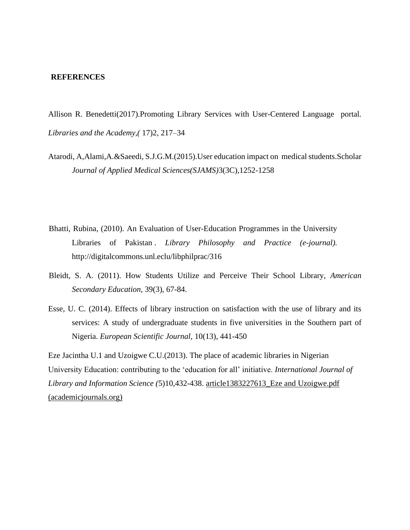#### **REFERENCES**

Allison R. Benedetti(2017).Promoting Library Services with User-Centered Language portal*. Libraries and the Academy,(* 17)2, 217–34

- Atarodi, A,Alami,A.&Saeedi, S.J.G.M.(2015).User education impact on medical students.Scholar *Journal of Applied Medical Sciences(SJAMS)*3(3C),1252-1258
- Bhatti, Rubina, (2010). An Evaluation of User-Education Programmes in the University Libraries of Pakistan . *Library Philosophy and Practice (e-journal)*. http://digitalcommons.unl.eclu/libphilprac/316
- Bleidt, S. A. (2011). How Students Utilize and Perceive Their School Library, *American Secondary Education,* 39(3), 67-84.
- Esse, U. C. (2014). Effects of library instruction on satisfaction with the use of library and its services: A study of undergraduate students in five universities in the Southern part of Nigeria. *European Scientific Journal*, 10(13), 441-450

Eze Jacintha U.1 and Uzoigwe C.U.(2013). The place of academic libraries in Nigerian University Education: contributing to the 'education for all' initiative. *International Journal of Library and Information Science (*5)10,432-438. [article1383227613\\_Eze and Uzoigwe.pdf](https://academicjournals.org/article/article1383227613_Eze%20and%20Uzoigwe.pdf)  [\(academicjournals.org\)](https://academicjournals.org/article/article1383227613_Eze%20and%20Uzoigwe.pdf)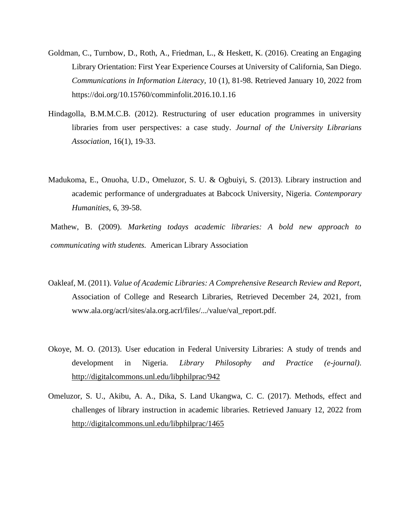- Goldman, C., Turnbow, D., Roth, A., Friedman, L., & Heskett, K. (2016). Creating an Engaging Library Orientation: First Year Experience Courses at University of California, San Diego. *Communications in Information Literacy,* 10 (1), 81-98. Retrieved January 10, 2022 from https://doi.org/10.15760/comminfolit.2016.10.1.16
- Hindagolla, B.M.M.C.B. (2012). Restructuring of user education programmes in university libraries from user perspectives: a case study. *Journal of the University Librarians Association*, 16(1), 19-33.
- Madukoma, E., Onuoha, U.D., Omeluzor, S. U. & Ogbuiyi, S. (2013). Library instruction and academic performance of undergraduates at Babcock University, Nigeria. *Contemporary Humanities*, 6, 39-58.
- Mathew, B. (2009). *Marketing todays academic libraries: A bold new approach to communicating with students.* American Library Association
- Oakleaf, M. (2011). *Value of Academic Libraries: A Comprehensive Research Review and Report*, Association of College and Research Libraries, Retrieved December 24, 2021, from www.ala.org/acrl/sites/ala.org.acrl/files/.../value/val\_report.pdf.
- Okoye, M. O. (2013). User education in Federal University Libraries: A study of trends and development in Nigeria. *Library Philosophy and Practice (e-journal)*. <http://digitalcommons.unl.edu/libphilprac/942>
- Omeluzor, S. U., Akibu, A. A., Dika, S. Land Ukangwa, C. C. (2017). Methods, effect and challenges of library instruction in academic libraries. Retrieved January 12, 2022 from <http://digitalcommons.unl.edu/libphilprac/1465>